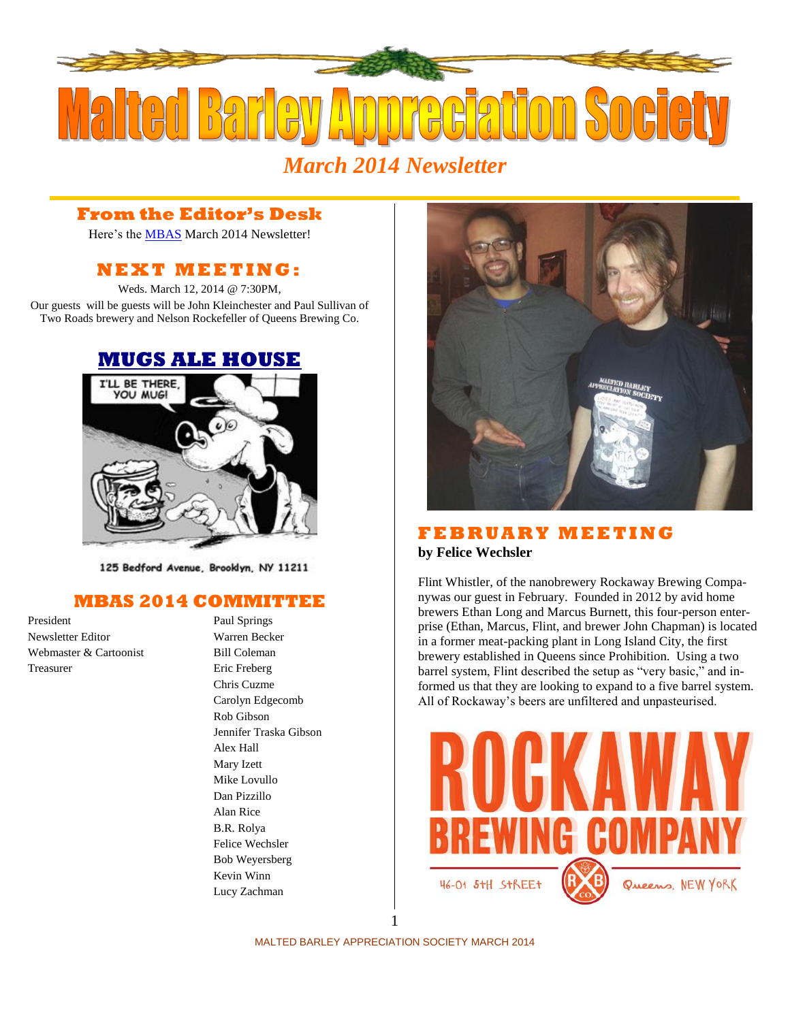

## **From the Editor's Desk**

Here's the [MBAS](http://hbd.org/mbas) March 2014 Newsletter!

# **N E X T M E ETI N G :**

Weds. March 12, 2014 @ 7:30PM, Our guests will be guests will be John Kleinchester and Paul Sullivan of Two Roads brewery and Nelson Rockefeller of Queens Brewing Co.



125 Bedford Avenue, Brooklyn, NY 11211

### **MBAS 2014 COMMITTEE**

President Paul Springs Newsletter Editor Warren Becker Webmaster & Cartoonist Bill Coleman Treasurer Eric Freberg

Chris Cuzme Carolyn Edgecomb Rob Gibson Jennifer Traska Gibson Alex Hall Mary Izett Mike Lovullo Dan Pizzillo Alan Rice B.R. Rolya Felice Wechsler Bob Weyersberg Kevin Winn Lucy Zachman



#### **F E B R U A R Y M E E T I N G by Felice Wechsler**

Flint Whistler, of the nanobrewery [Rockaway Brewing Compa](http://rockawaybrewco.com/)[nyw](http://rockawaybrewco.com/)as our guest in February. Founded in 2012 by avid home brewers Ethan Long and Marcus Burnett, this four-person enterprise (Ethan, Marcus, Flint, and brewer John Chapman) is located in a former meat-packing plant in Long Island City, the first brewery established in Queens since Prohibition. Using a two barrel system, Flint described the setup as "very basic," and informed us that they are looking to expand to a five barrel system. All of Rockaway's beers are unfiltered and unpasteurised.

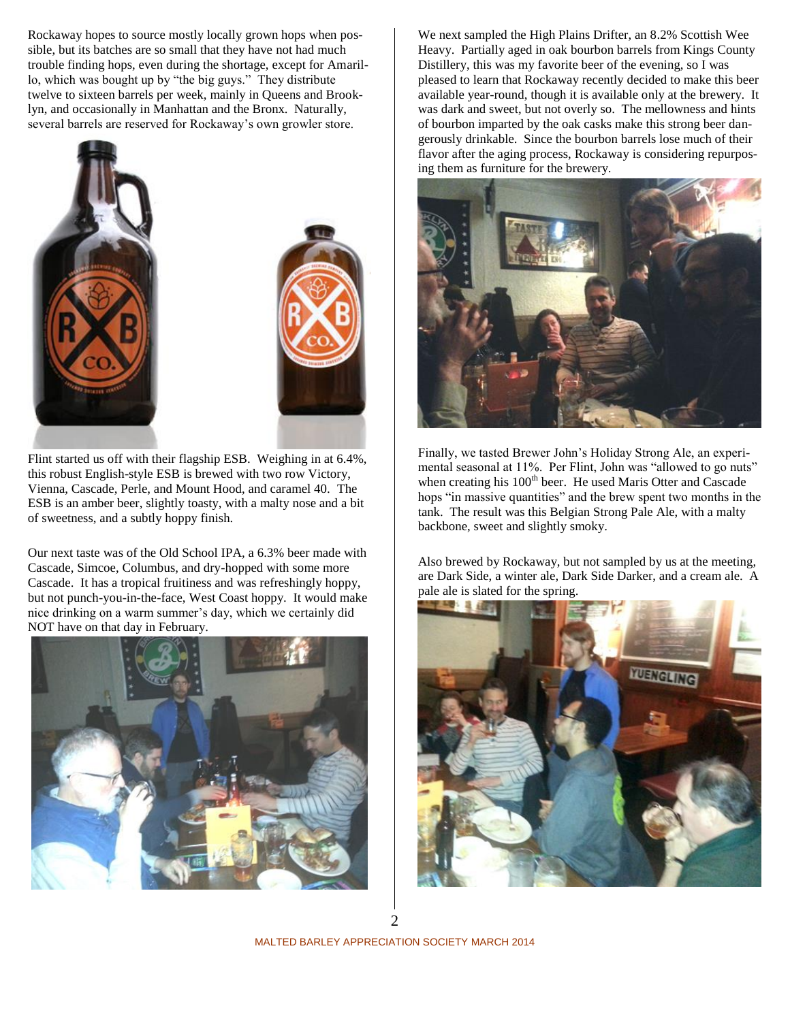Rockaway hopes to source mostly locally grown hops when possible, but its batches are so small that they have not had much trouble finding hops, even during the shortage, except for Amarillo, which was bought up by "the big guys." They distribute twelve to sixteen barrels per week, mainly in Queens and Brooklyn, and occasionally in Manhattan and the Bronx. Naturally, several barrels are reserved for Rockaway's own growler store.





Flint started us off with their flagship ESB. Weighing in at 6.4%, this robust English-style ESB is brewed with two row Victory, Vienna, Cascade, Perle, and Mount Hood, and caramel 40. The ESB is an amber beer, slightly toasty, with a malty nose and a bit of sweetness, and a subtly hoppy finish.

Our next taste was of the Old School IPA, a 6.3% beer made with Cascade, Simcoe, Columbus, and dry-hopped with some more Cascade. It has a tropical fruitiness and was refreshingly hoppy, but not punch-you-in-the-face, West Coast hoppy. It would make nice drinking on a warm summer's day, which we certainly did NOT have on that day in February.



We next sampled the High Plains Drifter, an 8.2% Scottish Wee Heavy. Partially aged in oak bourbon barrels from Kings County Distillery, this was my favorite beer of the evening, so I was pleased to learn that Rockaway recently decided to make this beer available year-round, though it is available only at the brewery. It was dark and sweet, but not overly so. The mellowness and hints of bourbon imparted by the oak casks make this strong beer dangerously drinkable. Since the bourbon barrels lose much of their flavor after the aging process, Rockaway is considering repurposing them as furniture for the brewery.



Finally, we tasted Brewer John's Holiday Strong Ale, an experimental seasonal at 11%. Per Flint, John was "allowed to go nuts" when creating his 100<sup>th</sup> beer. He used Maris Otter and Cascade hops "in massive quantities" and the brew spent two months in the tank. The result was this Belgian Strong Pale Ale, with a malty backbone, sweet and slightly smoky.

Also brewed by Rockaway, but not sampled by us at the meeting, are Dark Side, a winter ale, Dark Side Darker, and a cream ale. A pale ale is slated for the spring.



MALTED BARLEY APPRECIATION SOCIETY MARCH 2014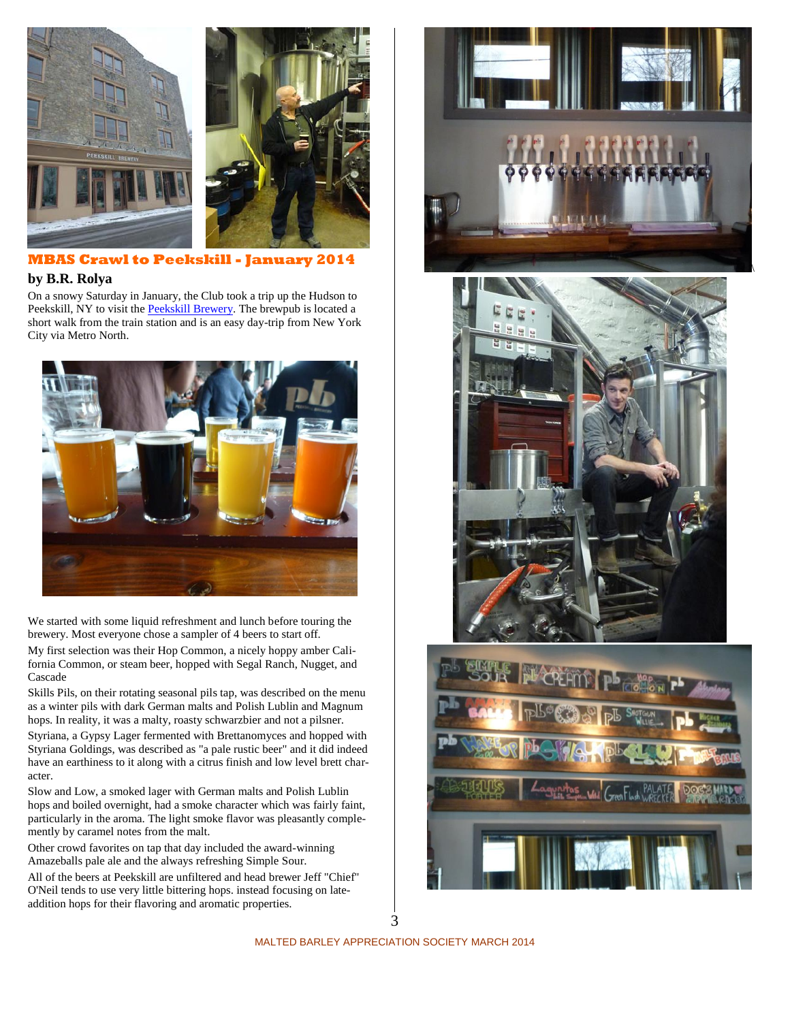



**MBAS Crawl to Peekskill - January 2014** 

#### **by B.R. Rolya**

On a snowy Saturday in January, the Club took a trip up the Hudson to Peekskill, NY to visit th[e Peekskill Brewery.](http://www.peekskillbrewery.com/) The brewpub is located a short walk from the train station and is an easy day-trip from New York City via Metro North.



We started with some liquid refreshment and lunch before touring the brewery. Most everyone chose a sampler of 4 beers to start off.

My first selection was their Hop Common, a nicely hoppy amber California Common, or steam beer, hopped with Segal Ranch, Nugget, and Cascade

Skills Pils, on their rotating seasonal pils tap, was described on the menu as a winter pils with dark German malts and Polish Lublin and Magnum hops. In reality, it was a malty, roasty schwarzbier and not a pilsner.

Styriana, a Gypsy Lager fermented with Brettanomyces and hopped with Styriana Goldings, was described as "a pale rustic beer" and it did indeed have an earthiness to it along with a citrus finish and low level brett character.

Slow and Low, a smoked lager with German malts and Polish Lublin hops and boiled overnight, had a smoke character which was fairly faint, particularly in the aroma. The light smoke flavor was pleasantly complemently by caramel notes from the malt.

Other crowd favorites on tap that day included the award-winning Amazeballs pale ale and the always refreshing Simple Sour.

All of the beers at Peekskill are unfiltered and head brewer Jeff "Chief" O'Neil tends to use very little bittering hops. instead focusing on lateaddition hops for their flavoring and aromatic properties.







3